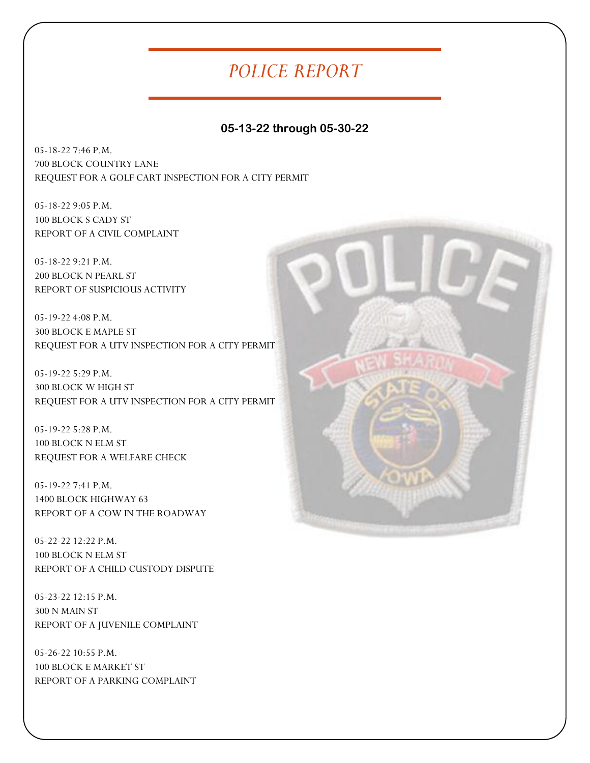## *POLICE REPORT*

## **05-13-22 through 05-30-22**

05-18-22 7:46 P.M. 700 BLOCK COUNTRY LANE REQUEST FOR A GOLF CART INSPECTION FOR A CITY PERMIT

05-18-22 9:05 P.M. 100 BLOCK S CADY ST REPORT OF A CIVIL COMPLAINT

05-18-22 9:21 P.M. 200 BLOCK N PEARL ST REPORT OF SUSPICIOUS ACTIVITY

05-19-22 4:08 P.M. 300 BLOCK E MAPLE ST REQUEST FOR A UTV INSPECTION FOR A CITY PERMIT

05-19-22 5:29 P.M. 300 BLOCK W HIGH ST REQUEST FOR A UTV INSPECTION FOR A CITY PERMIT

05-19-22 5:28 P.M. 100 BLOCK N ELM ST REQUEST FOR A WELFARE CHECK

05-19-22 7:41 P.M. 1400 BLOCK HIGHWAY 63 REPORT OF A COW IN THE ROADWAY

05-22-22 12:22 P.M. 100 BLOCK N ELM ST REPORT OF A CHILD CUSTODY DISPUTE

05-23-22 12:15 P.M. 300 N MAIN ST REPORT OF A JUVENILE COMPLAINT

05-26-22 10:55 P.M. 100 BLOCK E MARKET ST REPORT OF A PARKING COMPLAINT